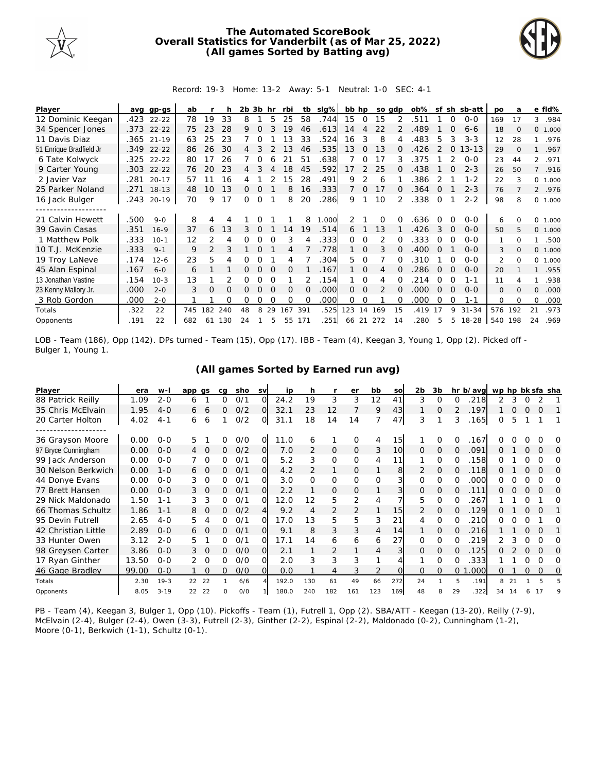

## **The Automated ScoreBook Overall Statistics for Vanderbilt (as of Mar 25, 2022) (All games Sorted by Batting avg)**



## Record: 19-3 Home: 13-2 Away: 5-1 Neutral: 1-0 SEC: 4-1

| Player                  | avq  | gp-gs      | ab  |               |     | 2b 3b |          | hr       | rbi      | tb       | slg%  | bb hp          |               |               | so adp   | $ob\%$ | sf            |          | sh sb-att | po             | a        |              | e fld%  |
|-------------------------|------|------------|-----|---------------|-----|-------|----------|----------|----------|----------|-------|----------------|---------------|---------------|----------|--------|---------------|----------|-----------|----------------|----------|--------------|---------|
| 12 Dominic Keegan       | .423 | $22 - 22$  | 78  | 19            | 33  | 8     |          | 5        | 25       | 58       | .744  | 15             | $\Omega$      | 15            |          | .511   |               | $\Omega$ | $0 - 0$   | 169            | 17       | 3            | .984    |
| 34 Spencer Jones        |      | .373 22-22 | 75  | 23            | 28  | 9     | $\Omega$ |          | 19       | 46       | .613  | 14             | 4             | 22            |          | 489    |               | $\Omega$ | $6 - 6$   | 18             | $\Omega$ |              | 0 1.000 |
| 11 Davis Diaz           |      | .365 21-19 | 63  | 25            | 23  |       |          |          | 13       | 33       | .524  | 16             | 3             | 8             |          | .483   | 5             | 3        | $3 - 3$   | 12             | 28       |              | .976    |
| 51 Enrique Bradfield Jr | .349 | $22 - 22$  | 86  | 26            | 30  |       | 3        |          | 1.3      | 46       | .535  | 13             | $\Omega$      | 13            | $\Omega$ | .426   | $\mathcal{P}$ | $\Omega$ | $13 - 13$ | 29             | $\Omega$ |              | .967    |
| 6 Tate Kolwyck          | .325 | $22 - 22$  | 80  | 17            | 26  |       | 0        |          | 21       | 51       | .638  |                | 0             | 17            | 3        | .375   |               |          | $O-O$     | 23             | 44       |              | 2 .971  |
| 9 Carter Young          | .303 | $22 - 22$  | 76  | 20            | 23  | 4     |          |          | 18       | 45       | .592  | 17             | $\mathcal{P}$ | 25            |          | 438    |               |          | $2 - 3$   | 26             | 50       | $7^{\circ}$  | .916    |
| 2 Javier Vaz            | .281 | $20 - 17$  | 57  |               | 16  |       |          |          | 15       | 28       | .491  | 9              |               | 6             |          | .386   | 2             |          | $1 - 2$   | 22             | 3        | $\circ$      | 1.000   |
| 25 Parker Noland        |      | .271 18-13 | 48  | 10            | 13  | 0     | $\Omega$ |          | 8        | 16       | .333  | $\overline{7}$ | 0             | 17            | $\Omega$ | .364   | Ω             |          | $2 - 3$   | 76             |          |              | 2 .976  |
| 16 Jack Bulger          | .243 | $20 - 19$  | 70  | 9             | 17  | 0     | 0        |          | 8        | 20       | 286   | 9              |               | 10            |          | .338   | $\Omega$      |          | $2 - 2$   | 98             | 8        | $\Omega$     | 1.000   |
| ------------------      |      |            |     |               |     |       |          |          |          |          |       |                |               |               |          |        |               |          |           |                |          |              |         |
| 21 Calvin Hewett        | .500 | $9 - 0$    | 8   | 4             |     |       |          |          |          | 8        | 1.000 |                |               | 0             |          | .636   |               |          | $O-O$     | 6              |          | <sup>o</sup> | 1.000   |
| 39 Gavin Casas          | .351 | $16 - 9$   | 37  | 6             | 13  | 3     | $\Omega$ |          | 14       | 19       | .514  | 6              |               | 13            |          | 426    | 3             |          | $0 - 0$   | 50             | 5        | $\mathbf{O}$ | 1.000   |
| 1 Matthew Polk          | .333 | $10 - 1$   | 12  | 2             | 4   | 0     | Ω        |          | 3        | 4        | .333  | $\Omega$       | 0             | 2             |          | .333   | 0             | O        | $0 - 0$   | 1              | $\Omega$ |              | .500    |
| 10 T.J. McKenzie        | .333 | $9 - 1$    | 9   | $\mathcal{P}$ | 3   |       |          |          |          |          | .778  |                | $\Omega$      | 3             |          | .400   | Ω             |          | $0 - 0$   | 3              | $\Omega$ |              | 0 1.000 |
| 19 Troy LaNeve          | .174 | $12 - 6$   | 23  | 5             |     |       |          |          | 4        |          | 304   | 5.             | $\Omega$      |               |          | 310    |               |          | $O-O$     | $\mathfrak{D}$ | $\Omega$ | $\Omega$     | 1.000   |
| 45 Alan Espinal         | .167 | $6 - 0$    | 6   |               |     | 0     | $\Omega$ | $\Omega$ | $\Omega$ |          | .167  |                | $\Omega$      | 4             | 0        | 286    | 0             | $\Omega$ | $O-O$     | 20             |          | 1            | .955    |
| 13 Jonathan Vastine     | .154 | $10-3$     | 13  |               |     | Ω     | Ω        |          |          |          | .154  |                | $\Omega$      | 4             |          | 214    | 0             | O        | $1 - 1$   | 11             |          |              | .938    |
| 23 Kenny Mallory Jr.    | .000 | $2 - 0$    | 3   | $\Omega$      | O   |       |          |          | $\Omega$ | $\Omega$ | .000  | 0              | $\Omega$      | $\mathcal{P}$ |          | .000   | $\Omega$      |          | $0 - 0$   | $\mathbf{O}$   | $\Omega$ | $\Omega$     | .000    |
| 3 Rob Gordon            | .000 | $2 - 0$    |     |               | Ω   | 0     | Ω        | $\Omega$ | $\Omega$ | $\Omega$ | .000  | 0              | $\Omega$      |               |          | .000   | $\Omega$      | O        | $1 - 1$   | $\Omega$       | $\Omega$ | 0            | .000    |
| Totals                  | .322 | 22         | 745 | 182           | 240 | 48    | 8        | 29       | 167      | 391      | .525  | 123            | 14            | 169           | 15       | .419   | 17            | 9        | $31 - 34$ | 576            | 192      | 21           | .973    |
| Opponents               | .191 | 22         | 682 | 61            | 130 | 24    |          | ц.       | 55       | 171      | .251  | 66             | -21           | 272           | 14       | .280   | 5             | 5        | $18 - 28$ | 540 198        |          | 24           | .969    |

LOB - Team (186), Opp (142). DPs turned - Team (15), Opp (17). IBB - Team (4), Keegan 3, Young 1, Opp (2). Picked off - Bulger 1, Young 1.

| Player              | era   | w-l      | app qs |          | ca | sho | <b>SV</b> | ip    | h              |                | er       | bb       | SO  | 2 <sub>b</sub> | 3b       |         | hr b/avg | wp hp bk sfa sha |    |          |          |   |
|---------------------|-------|----------|--------|----------|----|-----|-----------|-------|----------------|----------------|----------|----------|-----|----------------|----------|---------|----------|------------------|----|----------|----------|---|
| 88 Patrick Reilly   | 1.09  | $2 - 0$  | 6      |          | Ω  | 0/1 | $\Omega$  | 24.2  | 19             | 3              | 3        | 12       | 41  | 3              | 0        | Ω       | 218      | 2                | 3  |          |          |   |
| 35 Chris McElvain   | 1.95  | $4 - 0$  | 6      | 6        | 0  | O/2 | $\Omega$  | 32.1  | 23             | 12             |          | 9        | 43  |                | 0        |         | .197     |                  | O  |          | O        |   |
| 20 Carter Holton    | 4.02  | $4 - 1$  | 6      | 6        |    | O/2 | Ol        | 31.1  | 18             | 14             | 14       |          | 47  | 3              |          | 3       | .165     | 0                | 5  |          |          |   |
|                     |       |          |        |          |    |     |           |       |                |                |          |          |     |                |          |         |          |                  |    |          |          |   |
| 36 Grayson Moore    | 0.00  | $0 - 0$  | 5.     |          | 0  | O/O | O         | 11.0  | 6              | 1              | O        | 4        | 15  |                | 0        | 0       | .167     |                  |    |          |          | O |
| 97 Bryce Cunningham | 0.00  | $O - O$  | 4      | $\circ$  | 0  | O/2 | O.        | 7.0   | 2              | $\overline{O}$ | 0        | 3        | 10  | $\Omega$       | $\Omega$ | Ω       | .091     | Ω                |    | $\Omega$ | $\Omega$ | O |
| 99 Jack Anderson    | 0.00  | $O - O$  |        | 0        | 0  | 0/1 | O.        | 5.2   | 3              | 0              | 0        | 4        | 11  |                | 0        | Ω       | 158      | O                |    | 0        | O        | Ω |
| 30 Nelson Berkwich  | 0.00  | $1 - 0$  | 6      | $\circ$  | 0  | 0/1 | O.        | 4.2   | $\overline{2}$ | 1              | 0        |          | 8   | 2              | 0        | 0       | .118     | Ω                |    |          | $\Omega$ | O |
| 44 Donye Evans      | 0.00  | $O - O$  | 3      | 0        | 0  | O/1 | O.        | 3.0   | 0              | 0              | $\Omega$ | $\Omega$ | 3   | 0              | $\Omega$ | O       | .000     | O                |    |          | O        | O |
| 77 Brett Hansen     | 0.00  | $O - O$  | 3      | $\Omega$ | 0  | 0/1 | O.        | 2.2   |                | 0              | 0        |          | 3   | 0              | O        | O       | 111      |                  |    |          | $\Omega$ | O |
| 29 Nick Maldonado   | 1.50  | $1 - 1$  | 3      | 3        | 0  | 0/1 | O.        | 12.0  | 12             | 5              | 2        | 4        |     | 5              | $\Omega$ | Ω       | .267     |                  |    |          |          | Ω |
| 66 Thomas Schultz   | 1.86  | $1 - 1$  | 8      | $\Omega$ | 0  | O/2 | 41        | 9.2   | 4              | 2              | 2        |          | 15  | 2              | $\Omega$ | 0       | .129     |                  |    |          |          |   |
| 95 Devin Futrell    | 2.65  | $4 - 0$  | 5      | 4        | 0  | 0/1 | O         | 17.0  | 13             | 5              | 5        | 3        | 21  | 4              | 0        |         | 210      | O                |    |          |          | Ω |
| 42 Christian Little | 2.89  | $O-O$    | 6      | $\Omega$ | 0  | 0/1 | $\Omega$  | 9.1   | 8              | 3              | 3        | 4        | 14  |                | $\Omega$ | 0       | 216      |                  |    | $\Omega$ | $\Omega$ |   |
| 33 Hunter Owen      | 3.12  | $2 - 0$  | 5      |          | 0  | O/1 | O         | 17.1  | 14             | 6              | 6        | 6        | 27  | 0              | 0        |         | 219      |                  |    |          | O        | O |
| 98 Greysen Carter   | 3.86  | $0 - 0$  | 3      | $\Omega$ | 0  | O/O | ΩI        | 2.1   |                | $\overline{2}$ |          | 4        |     | 0              | $\Omega$ | 0       | .125     | ∩                |    | $\Omega$ | $\Omega$ | O |
| 17 Ryan Ginther     | 13.50 | $O - O$  | 2      | $\Omega$ | Ω  | 0/0 | O         | 2.0   | 3              | 3              | 3        |          |     |                | Ω        |         | 333      |                  |    |          | $\Omega$ | Ω |
| 46 Gage Bradley     | 99.00 | $O - O$  |        | $\Omega$ | 0  | O/O | $\Omega$  | 0.0   |                | $\overline{4}$ | 3        | 2        |     | 0              | $\Omega$ | $\circ$ | .000     | Ω                |    | 0        | 0        | 0 |
| Totals              | 2.30  | $19-3$   | 22     | 22       |    | 6/6 |           | 192.0 | 130            | 61             | 49       | 66       | 272 | 24             |          | 5       | .191     | 8                | 21 |          | 5        |   |
| Opponents           | 8.05  | $3 - 19$ | 22     | 22       | O  | O/O |           | 180.0 | 240            | 182            | 161      | 123      | 169 | 48             | 8        | 29      | .322     | 34               | 14 |          | 17       | q |

**(All games Sorted by Earned run avg)**

PB - Team (4), Keegan 3, Bulger 1, Opp (10). Pickoffs - Team (1), Futrell 1, Opp (2). SBA/ATT - Keegan (13-20), Reilly (7-9), McElvain (2-4), Bulger (2-4), Owen (3-3), Futrell (2-3), Ginther (2-2), Espinal (2-2), Maldonado (0-2), Cunningham (1-2), Moore (0-1), Berkwich (1-1), Schultz (0-1).